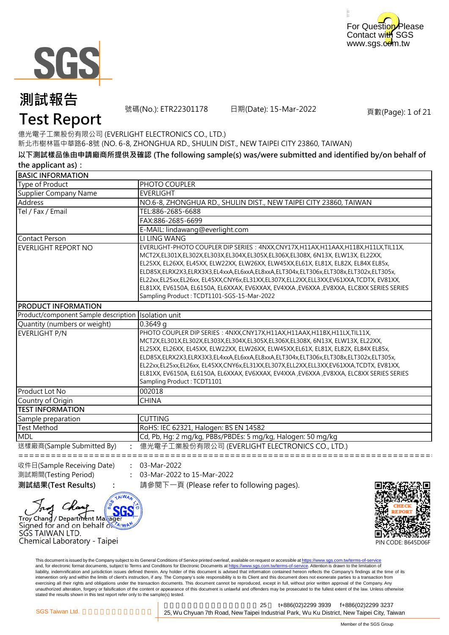



號碼(No.): ETR22301178 日期(Date): 15-Mar-2022

頁數(Page): 1 of 21

億光電子工業股份有限公司 (EVERLIGHT ELECTRONICS CO., LTD.)

新北市樹林區中華路6-8號 (NO. 6-8, ZHONGHUA RD., SHULIN DIST., NEW TAIPEI CITY 23860, TAIWAN)

#### **以下測試樣品係由申請廠商所提供及確認 (The following sample(s) was/were submitted and identified by/on behalf of the applicant as):**

| .                                    |                                                                                                                                                                                                                                                                                                                                                                                                                                                                                                                                                                                           |
|--------------------------------------|-------------------------------------------------------------------------------------------------------------------------------------------------------------------------------------------------------------------------------------------------------------------------------------------------------------------------------------------------------------------------------------------------------------------------------------------------------------------------------------------------------------------------------------------------------------------------------------------|
| <b>BASIC INFORMATION</b>             |                                                                                                                                                                                                                                                                                                                                                                                                                                                                                                                                                                                           |
| Type of Product                      | PHOTO COUPLER                                                                                                                                                                                                                                                                                                                                                                                                                                                                                                                                                                             |
| <b>Supplier Company Name</b>         | <b>EVERLIGHT</b>                                                                                                                                                                                                                                                                                                                                                                                                                                                                                                                                                                          |
| Address                              | NO.6-8, ZHONGHUA RD., SHULIN DIST., NEW TAIPEI CITY 23860, TAIWAN                                                                                                                                                                                                                                                                                                                                                                                                                                                                                                                         |
| Tel / Fax / Email                    | TEL:886-2685-6688                                                                                                                                                                                                                                                                                                                                                                                                                                                                                                                                                                         |
|                                      | FAX:886-2685-6699                                                                                                                                                                                                                                                                                                                                                                                                                                                                                                                                                                         |
|                                      | E-MAIL: lindawang@everlight.com                                                                                                                                                                                                                                                                                                                                                                                                                                                                                                                                                           |
| <b>Contact Person</b>                | LI LING WANG                                                                                                                                                                                                                                                                                                                                                                                                                                                                                                                                                                              |
| EVERLIGHT REPORT NO                  | EVERLIGHT-PHOTO COUPLER DIP SERIES : 4NXX, CNY17X, H11AX, H11AAX, H11BX, H11LX, TIL11X,<br>MCT2X,EL301X,EL302X,EL303X,EL304X,EL305X,EL306X,EL308X, 6N13X, ELW13X, EL22XX,<br>EL25XX, EL26XX, EL45XX, ELW22XX, ELW26XX, ELW45XX,EL61X, EL81X, EL82X, EL84X EL85x,<br>ELD85X,ELRX2X3,ELRX3X3,EL4xxA,EL6xxA,EL8xxA,ELT304x,ELT306x,ELT308x,ELT302x,ELT305x,<br>EL22xx,EL25xx,EL26xx,EL45XX,CNY6x,EL31XX,EL307X,ELL2XX,ELL3XX,EV61XXA,TCDTX,EV81XX,<br>EL81XX, EV6150A, EL6150A, EL6XXAX, EV6XXAX, EV4XXA, EV6XXA, EV8XXA, ELC8XX SERIES SERIES<br>Sampling Product: TCDT1101-SGS-15-Mar-2022 |
| PRODUCT INFORMATION                  |                                                                                                                                                                                                                                                                                                                                                                                                                                                                                                                                                                                           |
| Product/component Sample description | Isolation unit                                                                                                                                                                                                                                                                                                                                                                                                                                                                                                                                                                            |
| Quantity (numbers or weight)         | 0.3649q                                                                                                                                                                                                                                                                                                                                                                                                                                                                                                                                                                                   |
| <b>EVERLIGHT P/N</b>                 | PHOTO COUPLER DIP SERIES: 4NXX, CNY17X, H11AX, H11AAX, H11BX, H11LX, TIL11X,<br>MCT2X,EL301X,EL302X,EL303X,EL304X,EL305X,EL306X,EL308X, 6N13X, ELW13X, EL22XX,<br>EL25XX, EL26XX, EL45XX, ELW22XX, ELW26XX, ELW45XX,EL61X, EL81X, EL82X, EL84X EL85x,<br>ELD85X,ELRX2X3,ELRX3X3,EL4xxA,EL6xxA,EL8xxA,ELT304x,ELT306x,ELT308x,ELT302x,ELT305x,<br>EL22xx,EL25xx,EL26xx,EL45XX,CNY6x,EL31XX,EL307X,ELL2XX,ELL3XX,EV61XXA,TCDTX,EV81XX,<br>EL81XX, EV6150A, EL6150A, EL6XXAX, EV6XXAX, EV4XXA, EV6XXA, EV8XXA, ELC8XX SERIES SERIES<br>Sampling Product: TCDT1101                            |
| Product Lot No                       | 002018                                                                                                                                                                                                                                                                                                                                                                                                                                                                                                                                                                                    |
| Country of Origin                    | <b>CHINA</b>                                                                                                                                                                                                                                                                                                                                                                                                                                                                                                                                                                              |
| <b>TEST INFORMATION</b>              |                                                                                                                                                                                                                                                                                                                                                                                                                                                                                                                                                                                           |
| Sample preparation                   | <b>CUTTING</b>                                                                                                                                                                                                                                                                                                                                                                                                                                                                                                                                                                            |
| <b>Test Method</b>                   | RoHS: IEC 62321, Halogen: BS EN 14582                                                                                                                                                                                                                                                                                                                                                                                                                                                                                                                                                     |
| <b>MDL</b>                           | Cd, Pb, Hg: 2 mg/kg, PBBs/PBDEs: 5 mg/kg, Halogen: 50 mg/kg                                                                                                                                                                                                                                                                                                                                                                                                                                                                                                                               |
| 送樣廠商(Sample Submitted By)            | 億光電子工業股份有限公司 (EVERLIGHT ELECTRONICS CO., LTD.)<br>============================                                                                                                                                                                                                                                                                                                                                                                                                                                                                                                            |

收件日(Sample Receiving Date) 測試期間(Testing Period)

Troy Chang / Department Maxager Signed for and on behalf of Arward

Chemical Laboratory - Taipei

**: :** 03-Mar-2022

SGS TAIWAN LTD.

AIWA

**測試結果(Test Results) :** 請參閱下一頁 (Please refer to following pages). 03-Mar-2022 to 15-Mar-2022



This document is issued by the Company subject to its General Conditions of Service printed overleaf, available on request or accessible at https://www.sgs.com.tw/terms-of-service and, for electronic format documents, subject to Terms and Conditions for Electronic Documents at https://www.sgs.com.tw/terms-of-service. Attention is drawn to the limitation of liability, indemnification and jurisdiction issues defined therein. Any holder of this document is advised that information contained hereon reflects the Company's findings at the time of its intervention only and within the limits of client's instruction, if any. The Company's sole responsibility is to its Client and this document does not exonerate parties to a transaction from exercising all their rights and obligations under the transaction documents. This document cannot be reproduced, except in full, without prior written approval of the Company. Any<br>unauthorized alteration, forgery or falsif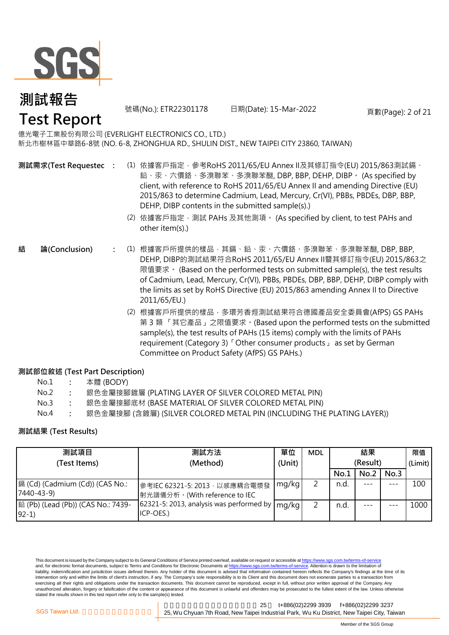

號碼(No.): ETR22301178 日期(Date): 15-Mar-2022 頁數(Page): 2 of 21

億光電子工業股份有限公司 (EVERLIGHT ELECTRONICS CO., LTD.) 新北市樹林區中華路6-8號 (NO. 6-8, ZHONGHUA RD., SHULIN DIST., NEW TAIPEI CITY 23860, TAIWAN)

- **:** (1) 依據客戶指定,參考RoHS 2011/65/EU Annex II及其修訂指令(EU) 2015/863測試鎘、 鉛、汞、六價鉻、多溴聯苯、多溴聯苯醚, DBP, BBP, DEHP, DIBP。 (As specified by client, with reference to RoHS 2011/65/EU Annex II and amending Directive (EU) 2015/863 to determine Cadmium, Lead, Mercury, Cr(VI), PBBs, PBDEs, DBP, BBP, DEHP, DIBP contents in the submitted sample(s).) **測試需求(Test Requested)**
	- (2) 依據客戶指定,測試 PAHs 及其他測項。 (As specified by client, to test PAHs and other item(s).)
- **:** (1) 根據客戶所提供的樣品,其鎘、鉛、汞、六價鉻、多溴聯苯、多溴聯苯醚, DBP, BBP, **結 論(Conclusion)** DEHP, DIBP的測試結果符合RoHS 2011/65/EU Annex II暨其修訂指令(EU) 2015/863之 限值要求。 (Based on the performed tests on submitted sample(s), the test results of Cadmium, Lead, Mercury, Cr(VI), PBBs, PBDEs, DBP, BBP, DEHP, DIBP comply with the limits as set by RoHS Directive (EU) 2015/863 amending Annex II to Directive 2011/65/EU.)
	- (2) 根據客戶所提供的樣品,多環芳香烴測試結果符合德國產品安全委員會(AfPS) GS PAHs 第 3 類 「其它產品」之限值要求。(Based upon the performed tests on the submitted sample(s), the test results of PAHs (15 items) comply with the limits of PAHs requirement (Category 3)「Other consumer products」 as set by German Committee on Product Safety (AfPS) GS PAHs.)

### **測試部位敘述 (Test Part Description)**

| No.1 |  | 本體 (BODY) |
|------|--|-----------|
|------|--|-----------|

- No.2 **:** 銀色金屬接腳鍍層 (PLATING LAYER OF SILVER COLORED METAL PIN)
- No.3 **:** 銀色金屬接腳底材 (BASE MATERIAL OF SILVER COLORED METAL PIN)
- No.4 **:** 銀色金屬接腳 (含鍍層) (SILVER COLORED METAL PIN (INCLUDING THE PLATING LAYER))

### **測試結果 (Test Results)**

| 測試項目                                          | 測試方法                                                                             | 單位     | <b>MDL</b> |          | 結果   |         | 限值   |
|-----------------------------------------------|----------------------------------------------------------------------------------|--------|------------|----------|------|---------|------|
| (Test Items)                                  | (Method)                                                                         | (Unit) |            | (Result) |      | (Limit) |      |
|                                               |                                                                                  |        |            | No.1     | No.2 | No.3    |      |
| 鎘 (Cd) (Cadmium (Cd)) (CAS No.:<br>7440-43-9) | 參考IEC 62321-5: 2013, 以感應耦合電漿發<br>射光譜儀分析。(With reference to IEC                   | mg/kg  |            | n.d.     |      |         | 100  |
| 銟 (Pb) (Lead (Pb)) (CAS No.: 7439-<br>$92-1)$ | [62321-5: 2013, analysis was performed by $\lfloor$ mg/kg $\rfloor$<br>ICP-OES.) |        |            | n.d.     |      |         | 1000 |

This document is issued by the Company subject to its General Conditions of Service printed overleaf, available on request or accessible at https://www.sgs.com.tw/terms-of-service and, for electronic format documents, subject to Terms and Conditions for Electronic Documents at https://www.sgs.com.tw/terms-of-service. Attention is drawn to the limitation of liability, indemnification and jurisdiction issues defined therein. Any holder of this document is advised that information contained hereon reflects the Company's findings at the time of its intervention only and within the limits of client's instruction, if any. The Company's sole responsibility is to its Client and this document does not exonerate parties to a transaction from exercising all their rights and obligations under the transaction documents. This document cannot be reproduced, except in full, without prior written approval of the Company. Any unauthorized alteration, forgery or falsification of the content or appearance of this document is unlawful and offenders may be prosecuted to the fullest extent of the law. Unless otherwise stated the results shown in this test report refer only to the sample(s) tested.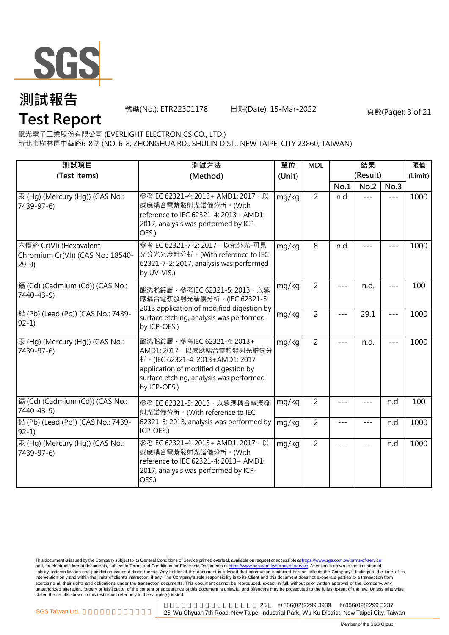

號碼(No.): ETR22301178 日期(Date): 15-Mar-2022 頁數(Page): 3 of 21

億光電子工業股份有限公司 (EVERLIGHT ELECTRONICS CO., LTD.)

新北市樹林區中華路6-8號 (NO. 6-8, ZHONGHUA RD., SHULIN DIST., NEW TAIPEI CITY 23860, TAIWAN)

| 測試項目                                                                  | 測試方法<br>(Test Items)<br>(Method)                                                                                                                                                                  |        | <b>MDL</b>     |       | 結果<br>(Result) |       | 限值<br>(Limit) |
|-----------------------------------------------------------------------|---------------------------------------------------------------------------------------------------------------------------------------------------------------------------------------------------|--------|----------------|-------|----------------|-------|---------------|
|                                                                       |                                                                                                                                                                                                   | (Unit) |                | No.1  | No.2           | No.3  |               |
| 汞 (Hg) (Mercury (Hg)) (CAS No.:<br>7439-97-6)                         | 參考IEC 62321-4: 2013+ AMD1: 2017 · 以<br>感應耦合電漿發射光譜儀分析。(With<br>reference to IEC 62321-4: 2013+ AMD1:<br>2017, analysis was performed by ICP-<br>OES.)                                              | mg/kg  | $\overline{2}$ | n.d.  | $---$          | $---$ | 1000          |
| 六價鉻 Cr(VI) (Hexavalent<br>Chromium Cr(VI)) (CAS No.: 18540-<br>$29-9$ | 參考IEC 62321-7-2: 2017 · 以紫外光-可見<br>光分光光度計分析。(With reference to IEC<br>62321-7-2: 2017, analysis was performed<br>by UV-VIS.)                                                                      | mg/kg  | $\overline{8}$ | n.d.  |                |       | 1000          |
| 鎘 (Cd) (Cadmium (Cd)) (CAS No.:<br>7440-43-9)                         | 酸洗脫鍍層, 參考IEC 62321-5: 2013, 以感<br>應耦合電漿發射光譜儀分析。(IEC 62321-5:<br>2013 application of modified digestion by                                                                                         | mg/kg  | $\overline{2}$ |       | n.d.           | ---   | 100           |
| 鉛 (Pb) (Lead (Pb)) (CAS No.: 7439-<br>$92-1)$                         | surface etching, analysis was performed<br>by ICP-OES.)                                                                                                                                           | mg/kg  | $\overline{2}$ | $---$ | 29.1           | $---$ | 1000          |
| 汞 (Hq) (Mercury (Hq)) (CAS No.:<br>7439-97-6)                         | 酸洗脫鍍層, 參考IEC 62321-4: 2013+<br>AMD1: 2017 · 以感應耦合電漿發射光譜儀分<br>析 · (IEC 62321-4: 2013+AMD1: 2017<br>application of modified digestion by<br>surface etching, analysis was performed<br>by ICP-OES.) | mg/kg  | $\overline{2}$ | ---   | n.d.           |       | 1000          |
| 鎘 (Cd) (Cadmium (Cd)) (CAS No.:<br>7440-43-9)                         | 參考IEC 62321-5: 2013, 以感應耦合電漿發<br>射光譜儀分析。(With reference to IEC                                                                                                                                    | mg/kg  | $\overline{2}$ | $---$ |                | n.d.  | 100           |
| 鉛 (Pb) (Lead (Pb)) (CAS No.: 7439-<br>$92-1$                          | 62321-5: 2013, analysis was performed by<br>ICP-OES.)                                                                                                                                             | mg/kg  | $\overline{2}$ | $---$ | ---            | n.d.  | 1000          |
| 汞 (Hq) (Mercury (Hq)) (CAS No.:<br>7439-97-6)                         | 參考IEC 62321-4: 2013+ AMD1: 2017 以<br>感應耦合電漿發射光譜儀分析。(With<br>reference to IEC 62321-4: 2013+ AMD1:<br>2017, analysis was performed by ICP-<br>OES.)                                                | mg/kg  | $\overline{2}$ | ---   | $---$          | n.d.  | 1000          |

This document is issued by the Company subject to its General Conditions of Service printed overleaf, available on request or accessible at <u>https://www.sgs.com.tw/terms-of-service</u><br>and, for electronic format documents, su liability, indemnification and jurisdiction issues defined therein. Any holder of this document is advised that information contained hereon reflects the Company's findings at the time of its intervention only and within the limits of client's instruction, if any. The Company's sole responsibility is to its Client and this document does not exonerate parties to a transaction from exercising all their rights and obligations under the transaction documents. This document cannot be reproduced, except in full, without prior written approval of the Company. Any<br>unauthorized alteration, forgery or falsif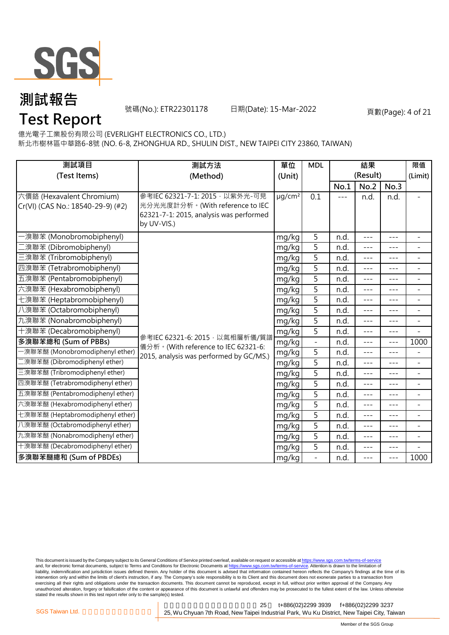

號碼(No.): ETR22301178 日期(Date): 15-Mar-2022 頁數(Page): 4 of 21

億光電子工業股份有限公司 (EVERLIGHT ELECTRONICS CO., LTD.)

新北市樹林區中華路6-8號 (NO. 6-8, ZHONGHUA RD., SHULIN DIST., NEW TAIPEI CITY 23860, TAIWAN)

| 測試項目                                                           | 測試方法<br>單位                                                                                                                  |                         | <b>MDL</b>     |      | 結果               |         | 限值                       |
|----------------------------------------------------------------|-----------------------------------------------------------------------------------------------------------------------------|-------------------------|----------------|------|------------------|---------|--------------------------|
| (Test Items)                                                   | (Method)                                                                                                                    | (Unit)                  |                | No.1 | (Result)<br>No.2 | No.3    | (Limit)                  |
| 六價鉻 (Hexavalent Chromium)<br>Cr(VI) (CAS No.: 18540-29-9) (#2) | 參考IEC 62321-7-1: 2015, 以紫外光-可見<br>光分光光度計分析。(With reference to IEC<br>62321-7-1: 2015, analysis was performed<br>by UV-VIS.) | $\mu$ g/cm <sup>2</sup> | 0.1            | ---  | n.d.             | n.d.    |                          |
| -溴聯苯 (Monobromobiphenyl)                                       |                                                                                                                             | mg/kg                   | 5              | n.d. | $---$            | $---$   | $\overline{\phantom{a}}$ |
| _溴聯苯 (Dibromobiphenyl)                                         |                                                                                                                             | mg/kg                   | 5              | n.d. | $---$            | $- - -$ | ÷                        |
| 三溴聯苯 (Tribromobiphenyl)                                        |                                                                                                                             | mg/kg                   | 5              | n.d. | $---$            | ---     | $\overline{a}$           |
| 四溴聯苯 (Tetrabromobiphenyl)                                      |                                                                                                                             | mg/kg                   | 5              | n.d. | $---$            | $---$   | $\overline{\phantom{0}}$ |
| 五溴聯苯 (Pentabromobiphenyl)                                      |                                                                                                                             | mg/kg                   | $\overline{5}$ | n.d. | $---$            | $- - -$ | $\overline{\phantom{0}}$ |
| 六溴聯苯 (Hexabromobiphenyl)                                       |                                                                                                                             | mg/kg                   | 5              | n.d. | $---$            | ---     | $\overline{a}$           |
| 七溴聯苯 (Heptabromobiphenyl)                                      |                                                                                                                             | mg/kg                   | 5              | n.d. | $---$            | $---$   | $\overline{a}$           |
| 八溴聯苯 (Octabromobiphenyl)                                       |                                                                                                                             | mg/kg                   | 5              | n.d. | $---$            | ---     | $\overline{\phantom{a}}$ |
| 九溴聯苯 (Nonabromobiphenyl)                                       |                                                                                                                             | mg/kg                   | 5              | n.d. | $---$            | $---$   | $\overline{\phantom{a}}$ |
| 十溴聯苯 (Decabromobiphenyl)                                       |                                                                                                                             | mg/kg                   | 5              | n.d. | $---$            | $---$   | $\equiv$                 |
| 多溴聯苯總和 (Sum of PBBs)                                           | 參考IEC 62321-6: 2015, 以氣相層析儀/質譜<br>儀分析。(With reference to IEC 62321-6:                                                       | mg/kg                   | $\blacksquare$ | n.d. | $---$            | $---$   | 1000                     |
| -溴聯苯醚 (Monobromodiphenyl ether)                                | 2015, analysis was performed by GC/MS.)                                                                                     | mg/kg                   | $\overline{5}$ | n.d. | $---$            | $- - -$ | $\overline{\phantom{0}}$ |
| 二溴聯苯醚 (Dibromodiphenyl ether)                                  |                                                                                                                             | mg/kg                   | 5              | n.d. | $---$            | $---$   | $\overline{\phantom{0}}$ |
| 三溴聯苯醚 (Tribromodiphenyl ether)                                 |                                                                                                                             | mg/kg                   | $\overline{5}$ | n.d. | ---              |         | $\overline{a}$           |
| 四溴聯苯醚 (Tetrabromodiphenyl ether)                               |                                                                                                                             | mg/kg                   | 5              | n.d. | $- - -$          | $---$   | $\bar{ }$                |
| 五溴聯苯醚 (Pentabromodiphenyl ether)                               |                                                                                                                             | mg/kg                   | 5              | n.d. | $---$            | $- - -$ | $\overline{\phantom{0}}$ |
| 六溴聯苯醚 (Hexabromodiphenyl ether)                                |                                                                                                                             | mg/kg                   | 5              | n.d. | $---$            | ---     | ÷                        |
| 七溴聯苯醚 (Heptabromodiphenyl ether)                               |                                                                                                                             | mg/kg                   | 5              | n.d. | $- - -$          | $- - -$ | Ξ.                       |
| 八溴聯苯醚 (Octabromodiphenyl ether)                                |                                                                                                                             | mg/kg                   | 5              | n.d. | $---$            | ---     | $\overline{a}$           |
| 九溴聯苯醚 (Nonabromodiphenyl ether)                                |                                                                                                                             | mg/kg                   | 5              | n.d. | $---$            | $---$   | $\overline{\phantom{0}}$ |
| 十溴聯苯醚 (Decabromodiphenyl ether)                                |                                                                                                                             | mg/kg                   | 5              | n.d. | ---              | ---     |                          |
| 多溴聯苯醚總和 (Sum of PBDEs)                                         |                                                                                                                             | mg/kg                   |                | n.d. | $---$            | $- - -$ | 1000                     |

This document is issued by the Company subject to its General Conditions of Service printed overleaf, available on request or accessible at <u>https://www.sgs.com.tw/terms-of-service</u><br>and, for electronic format documents, su liability, indemnification and jurisdiction issues defined therein. Any holder of this document is advised that information contained hereon reflects the Company's findings at the time of its intervention only and within the limits of client's instruction, if any. The Company's sole responsibility is to its Client and this document does not exonerate parties to a transaction from exercising all their rights and obligations under the transaction documents. This document cannot be reproduced, except in full, without prior written approval of the Company. Any<br>unauthorized alteration, forgery or falsif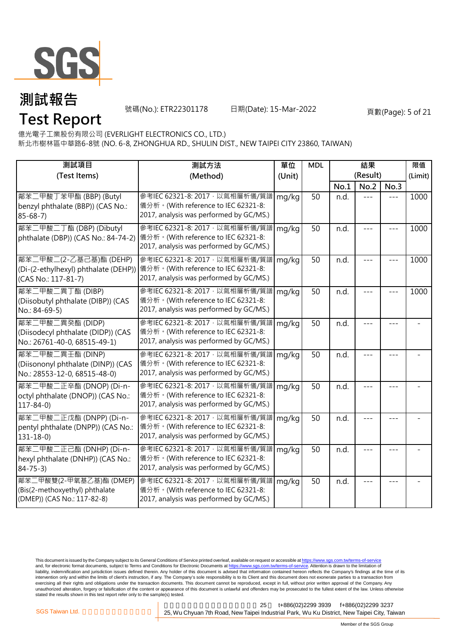

號碼(No.): ETR22301178 日期(Date): 15-Mar-2022 頁數(Page): 5 of 21

億光電子工業股份有限公司 (EVERLIGHT ELECTRONICS CO., LTD.)

新北市樹林區中華路6-8號 (NO. 6-8, ZHONGHUA RD., SHULIN DIST., NEW TAIPEI CITY 23860, TAIWAN)

| 測試項目                                                                                     | 測試方法<br>(Test Items)<br>(Method)                                                                                   |        | <b>MDL</b> |      | 結果<br>(Result) |         | 限值<br>(Limit) |
|------------------------------------------------------------------------------------------|--------------------------------------------------------------------------------------------------------------------|--------|------------|------|----------------|---------|---------------|
|                                                                                          |                                                                                                                    | (Unit) |            | No.1 | No.2           | No.3    |               |
| 鄰苯二甲酸丁苯甲酯 (BBP) (Butyl<br>benzyl phthalate (BBP)) (CAS No.:<br>$85 - 68 - 7$             | 參考IEC 62321-8: 2017, 以氣相層析儀/質譜<br>儀分析。(With reference to IEC 62321-8:<br>2017, analysis was performed by GC/MS.)   | mg/kg  | 50         | n.d. |                |         | 1000          |
| 鄰苯二甲酸二丁酯 (DBP) (Dibutyl<br>phthalate (DBP)) (CAS No.: 84-74-2)                           | 參考IEC 62321-8: 2017, 以氣相層析儀/質譜<br>儀分析。(With reference to IEC 62321-8:<br>2017, analysis was performed by GC/MS.)   | mg/kg  | 50         | n.d. |                |         | 1000          |
| 鄰苯二甲酸二(2-乙基己基)酯 (DEHP)<br>(Di-(2-ethylhexyl) phthalate (DEHP))<br>(CAS No.: 117-81-7)    | 參考IEC 62321-8: 2017 · 以氣相層析儀/質譜<br> 儀分析。(With reference to IEC 62321-8:<br>2017, analysis was performed by GC/MS.) | mg/kg  | 50         | n.d. |                |         | 1000          |
| 鄰苯二甲酸二異丁酯 (DIBP)<br>(Diisobutyl phthalate (DIBP)) (CAS<br>No.: 84-69-5)                  | 參考IEC 62321-8: 2017, 以氣相層析儀/質譜<br>儀分析。(With reference to IEC 62321-8:<br>2017, analysis was performed by GC/MS.)   | mg/kg  | 50         | n.d. | $- - -$        | $- - -$ | 1000          |
| 鄰苯二甲酸二異癸酯 (DIDP)<br>(Diisodecyl phthalate (DIDP)) (CAS<br>No.: 26761-40-0, 68515-49-1)   | 參考IEC 62321-8: 2017, 以氣相層析儀/質譜<br>儀分析。(With reference to IEC 62321-8:<br>2017, analysis was performed by GC/MS.)   | mg/kg  | 50         | n.d. | $- - -$        | $---$   |               |
| 鄰苯二甲酸二異壬酯 (DINP)<br>(Diisononyl phthalate (DINP)) (CAS<br>No.: 28553-12-0, 68515-48-0)   | 參考IEC 62321-8: 2017, 以氣相層析儀/質譜<br>儀分析。(With reference to IEC 62321-8:<br>2017, analysis was performed by GC/MS.)   | mg/kg  | 50         | n.d. |                |         |               |
| 鄰苯二甲酸二正辛酯 (DNOP) (Di-n-<br>octyl phthalate (DNOP)) (CAS No.:<br>$117 - 84 - 0$           | 參考IEC 62321-8: 2017, 以氣相層析儀/質譜<br>儀分析。(With reference to IEC 62321-8:<br>2017, analysis was performed by GC/MS.)   | mg/kg  | 50         | n.d. |                |         |               |
| 鄰苯二甲酸二正戊酯 (DNPP) (Di-n-<br>pentyl phthalate (DNPP)) (CAS No.:<br>$131 - 18 - 0$          | 參考IEC 62321-8: 2017, 以氣相層析儀/質譜<br>儀分析。(With reference to IEC 62321-8:<br>2017, analysis was performed by GC/MS.)   | mg/kg  | 50         | n.d. |                | ---     |               |
| 鄰苯二甲酸二正己酯 (DNHP) (Di-n-<br>hexyl phthalate (DNHP)) (CAS No.:<br>$84 - 75 - 3$            | 參考IEC 62321-8: 2017, 以氣相層析儀/質譜<br>儀分析。(With reference to IEC 62321-8:<br>2017, analysis was performed by GC/MS.)   | mg/kg  | 50         | n.d. | $- - -$        | ---     |               |
| 鄰苯二甲酸雙(2-甲氧基乙基)酯 (DMEP)<br>(Bis(2-methoxyethyl) phthalate<br>(DMEP)) (CAS No.: 117-82-8) | 參考IEC 62321-8: 2017, 以氣相層析儀/質譜<br>儀分析。(With reference to IEC 62321-8:<br>2017, analysis was performed by GC/MS.)   | mg/kg  | 50         | n.d. |                |         |               |

This document is issued by the Company subject to its General Conditions of Service printed overleaf, available on request or accessible at <u>https://www.sgs.com.tw/terms-of-service</u><br>and, for electronic format documents, su liability, indemnification and jurisdiction issues defined therein. Any holder of this document is advised that information contained hereon reflects the Company's findings at the time of its intervention only and within the limits of client's instruction, if any. The Company's sole responsibility is to its Client and this document does not exonerate parties to a transaction from exercising all their rights and obligations under the transaction documents. This document cannot be reproduced, except in full, without prior written approval of the Company. Any<br>unauthorized alteration, forgery or falsif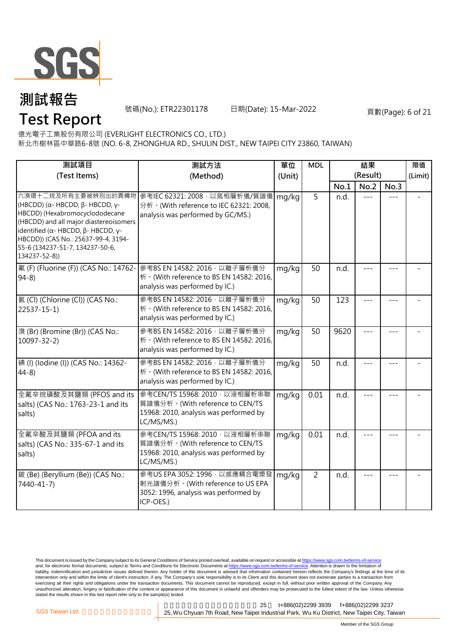

號碼(No.): ETR22301178 日期(Date): 15-Mar-2022 頁數(Page): 6 of 21

億光電子工業股份有限公司 (EVERLIGHT ELECTRONICS CO., LTD.)

新北市樹林區中華路6-8號 (NO. 6-8, ZHONGHUA RD., SHULIN DIST., NEW TAIPEI CITY 23860, TAIWAN)

| 測試項目                                                                                                                                                                                                                                                                                                        | 測試方法                                                                                                                      | 單位     | <b>MDL</b>     | 結果   |          |       | 限值      |
|-------------------------------------------------------------------------------------------------------------------------------------------------------------------------------------------------------------------------------------------------------------------------------------------------------------|---------------------------------------------------------------------------------------------------------------------------|--------|----------------|------|----------|-------|---------|
| (Test Items)                                                                                                                                                                                                                                                                                                | (Method)                                                                                                                  | (Unit) |                |      | (Result) |       | (Limit) |
|                                                                                                                                                                                                                                                                                                             |                                                                                                                           |        |                | No.1 | No.2     | No.3  |         |
| 六溴環十二烷及所有主要被辨別出的異構物<br>(HBCDD) ( $\alpha$ - HBCDD, $\beta$ - HBCDD, γ-<br>HBCDD) (Hexabromocyclododecane<br>(HBCDD) and all major diastereoisomers<br>identified ( $\alpha$ - HBCDD, $\beta$ - HBCDD, $\gamma$ -<br>HBCDD)) (CAS No.: 25637-99-4, 3194-<br>55-6 (134237-51-7, 134237-50-6,<br>134237-52-8)) | 參考IEC 62321: 2008, 以氣相層析儀/質譜儀<br>分析 · (With reference to IEC 62321: 2008,<br>analysis was performed by GC/MS.)            | mg/kg  | $\overline{5}$ | n.d. |          |       |         |
| 氟 (F) (Fluorine (F)) (CAS No.: 14762-<br>$94-8$                                                                                                                                                                                                                                                             | 參考BS EN 14582: 2016, 以離子層析儀分<br>析 · (With reference to BS EN 14582: 2016,<br>analysis was performed by IC.)               | mg/kg  | 50             | n.d. |          |       |         |
| 氯(Cl) (Chlorine (Cl)) (CAS No.:<br>22537-15-1)                                                                                                                                                                                                                                                              | 參考BS EN 14582: 2016 · 以離子層析儀分<br>析 · (With reference to BS EN 14582: 2016,<br>analysis was performed by IC.)              | mg/kg  | 50             | 123  |          |       |         |
| 溴 (Br) (Bromine (Br)) (CAS No.:<br>$10097 - 32 - 2$                                                                                                                                                                                                                                                         | 參考BS EN 14582: 2016 · 以離子層析儀分<br>析 · (With reference to BS EN 14582: 2016,<br>analysis was performed by IC.)              | mg/kg  | 50             | 9620 |          |       |         |
| 碘 (I) (Iodine (I)) (CAS No.: 14362-<br>$44-8$                                                                                                                                                                                                                                                               | 參考BS EN 14582: 2016 · 以離子層析儀分<br>析 · (With reference to BS EN 14582: 2016,<br>analysis was performed by IC.)              | mg/kg  | 50             | n.d. |          |       |         |
| 全氟辛烷磺酸及其鹽類 (PFOS and its<br>salts) (CAS No.: 1763-23-1 and its<br>salts)                                                                                                                                                                                                                                    | 參考CEN/TS 15968: 2010, 以液相層析串聯<br>質譜儀分析。(With reference to CEN/TS<br>15968: 2010, analysis was performed by<br>LC/MS/MS.)  | mg/kg  | 0.01           | n.d. |          | $---$ |         |
| 全氟辛酸及其鹽類 (PFOA and its<br>salts) (CAS No.: 335-67-1 and its<br>salts)                                                                                                                                                                                                                                       | 參考CEN/TS 15968: 2010 · 以液相層析串聯<br>質譜儀分析。(With reference to CEN/TS<br>15968: 2010, analysis was performed by<br>LC/MS/MS.) | mg/kg  | 0.01           | n.d. |          |       |         |
| 鈹 (Be) (Beryllium (Be)) (CAS No.:<br>7440-41-7)                                                                                                                                                                                                                                                             | 參考US EPA 3052: 1996, 以感應耦合電漿發<br>射光譜儀分析。(With reference to US EPA<br>3052: 1996, analysis was performed by<br>ICP-OES.)   | mg/kg  | $\overline{2}$ | n.d. |          | ---   |         |

This document is issued by the Company subject to its General Conditions of Service printed overleaf, available on request or accessible at <u>https://www.sgs.com.tw/terms-of-service</u><br>and, for electronic format documents, su liability, indemnification and jurisdiction issues defined therein. Any holder of this document is advised that information contained hereon reflects the Company's findings at the time of its intervention only and within the limits of client's instruction, if any. The Company's sole responsibility is to its Client and this document does not exonerate parties to a transaction from exercising all their rights and obligations under the transaction documents. This document cannot be reproduced, except in full, without prior written approval of the Company. Any<br>unauthorized alteration, forgery or falsif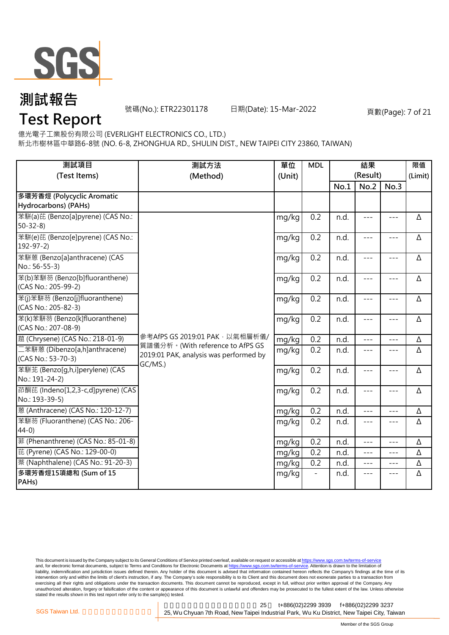

號碼(No.): ETR22301178 日期(Date): 15-Mar-2022 頁數(Page): 7 of 21

億光電子工業股份有限公司 (EVERLIGHT ELECTRONICS CO., LTD.)

新北市樹林區中華路6-8號 (NO. 6-8, ZHONGHUA RD., SHULIN DIST., NEW TAIPEI CITY 23860, TAIWAN)

| 測試項目<br>(Test Items)                                  | 單位<br>測試方法<br>(Method)<br>(Unit)                                                      |       | <b>MDL</b>       |      | 結果<br>(Result) |       | 限值<br>(Limit) |
|-------------------------------------------------------|---------------------------------------------------------------------------------------|-------|------------------|------|----------------|-------|---------------|
|                                                       |                                                                                       |       |                  | No.1 | No.2           | No.3  |               |
| 多環芳香烴 (Polycyclic Aromatic<br>Hydrocarbons) (PAHs)    |                                                                                       |       |                  |      |                |       |               |
| 苯駢(a)芘 (Benzo[a]pyrene) (CAS No.:<br>$50 - 32 - 8$    |                                                                                       | mg/kg | 0.2              | n.d. | $---$          | $---$ | Δ             |
| 苯駢(e)芘 (Benzo[e]pyrene) (CAS No.:<br>$192 - 97 - 2$   |                                                                                       | mg/kg | 0.2              | n.d. | $---$          | $---$ | Δ             |
| 苯駢蒽 (Benzo[a]anthracene) (CAS<br>No.: 56-55-3)        |                                                                                       | mg/kg | 0.2              | n.d. | $---$          | $---$ | Δ             |
| 苯(b)苯駢芴 (Benzo[b]fluoranthene)<br>(CAS No.: 205-99-2) |                                                                                       | mg/kg | 0.2              | n.d. | $---$          | $---$ | Δ             |
| 苯(j)苯駢芴 (Benzo[j]fluoranthene)<br>(CAS No.: 205-82-3) |                                                                                       | mg/kg | 0.2              | n.d. | $---$          | $---$ | Δ             |
| 苯(k)苯駢芴 (Benzo[k]fluoranthene)<br>(CAS No.: 207-08-9) |                                                                                       | mg/kg | $\overline{0.2}$ | n.d. | $---$          | $---$ | Δ             |
| 蔰 (Chrysene) (CAS No.: 218-01-9)                      | 參考AfPS GS 2019:01 PAK,以氣相層析儀/                                                         | mg/kg | 0.2              | n.d. | $- - -$        |       | Δ             |
| 二苯駢蒽 (Dibenzo[a,h]anthracene)<br>(CAS No.: 53-70-3)   | 質譜儀分析。(With reference to AfPS GS<br>2019:01 PAK, analysis was performed by<br>GC/MS.) | mg/kg | 0.2              | n.d. | $---$          | $---$ | Δ             |
| 苯駢苙 (Benzo[q,h,i]perylene) (CAS<br>No.: 191-24-2)     |                                                                                       | mg/kg | 0.2              | n.d. | $---$          | $---$ | Δ             |
| 茚酮芘 (Indeno[1,2,3-c,d]pyrene) (CAS<br>No.: 193-39-5)  |                                                                                       | mg/kg | 0.2              | n.d. | $---$          | $---$ | Δ             |
| 蒽 (Anthracene) (CAS No.: 120-12-7)                    |                                                                                       | mg/kg | 0.2              | n.d. | $- - -$        | $---$ | Δ             |
| 苯駢芴 (Fluoranthene) (CAS No.: 206-<br>$44-0)$          |                                                                                       | mg/kg | 0.2              | n.d. | $- - -$        | $---$ | Δ             |
| 菲 (Phenanthrene) (CAS No.: 85-01-8)                   |                                                                                       | mg/kg | 0.2              | n.d. | $---$          |       | Δ             |
| 芘 (Pyrene) (CAS No.: 129-00-0)                        |                                                                                       | mg/kg | 0.2              | n.d. | $---$          | $---$ | Δ             |
| 萘 (Naphthalene) (CAS No.: 91-20-3)                    |                                                                                       | mg/kg | 0.2              | n.d. | $---$          | $---$ | Δ             |
| 多環芳香烴15項總和 (Sum of 15<br>PAHs)                        |                                                                                       | mg/kg |                  | n.d. | $---$          | $---$ | Δ             |

This document is issued by the Company subject to its General Conditions of Service printed overleaf, available on request or accessible at <u>https://www.sgs.com.tw/terms-of-service</u><br>and, for electronic format documents, su liability, indemnification and jurisdiction issues defined therein. Any holder of this document is advised that information contained hereon reflects the Company's findings at the time of its intervention only and within the limits of client's instruction, if any. The Company's sole responsibility is to its Client and this document does not exonerate parties to a transaction from exercising all their rights and obligations under the transaction documents. This document cannot be reproduced, except in full, without prior written approval of the Company. Any<br>unauthorized alteration, forgery or falsif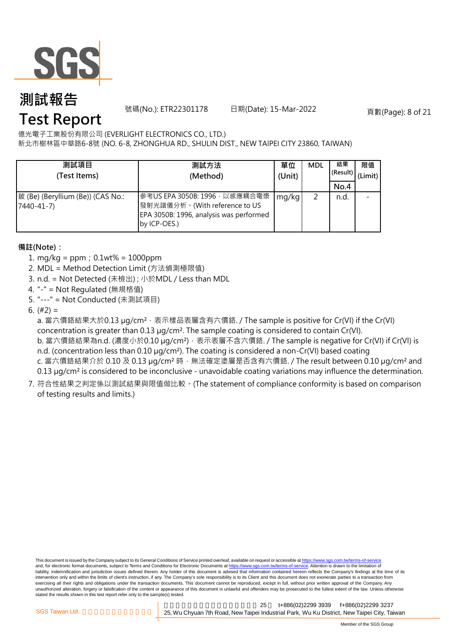

號碼(No.): ETR22301178 日期(Date): 15-Mar-2022 頁數(Page): 8 of 21

億光電子工業股份有限公司 (EVERLIGHT ELECTRONICS CO., LTD.)

新北市樹林區中華路6-8號 (NO. 6-8, ZHONGHUA RD., SHULIN DIST., NEW TAIPEI CITY 23860, TAIWAN)

| 測試項目<br>(Test Items)                                 | 測試方法<br>(Method)                                                                                                           | 單位<br>(Unit) | <b>MDL</b> | 結果<br>(Result)<br>No.4 | 限值<br>(Limit) |
|------------------------------------------------------|----------------------------------------------------------------------------------------------------------------------------|--------------|------------|------------------------|---------------|
| 鈹 (Be) (Beryllium (Be)) (CAS No.:<br>$7440 - 41 - 7$ | 參考US EPA 3050B: 1996 · 以感應耦合電漿<br>發射光譜儀分析。(With reference to US<br>EPA 3050B: 1996, analysis was performed<br>by ICP-OES.) | mg/kg        |            | n.d.                   |               |

**備註(Note):**

- 1. mg/kg = ppm;0.1wt% = 1000ppm
- 2. MDL = Method Detection Limit (方法偵測極限值)
- 3. n.d. = Not Detected (未檢出) ; 小於MDL / Less than MDL
- 4. "-" = Not Regulated (無規格值)
- 5. "---" = Not Conducted (未測試項目)

6.  $(#2) =$ 

a. 當六價鉻結果大於0.13 µg/cm<sup>2,</sup> 表示樣品表層含有六價鉻. / The sample is positive for Cr(VI) if the Cr(VI) concentration is greater than 0.13 µg/cm<sup>2</sup>. The sample coating is considered to contain Cr(VI). b. 當六價鉻結果為n.d. (濃度小於0.10 μg/cm<sup>2</sup>), 表示表層不含六價鉻. / The sample is negative for Cr(VI) if Cr(VI) is n.d. (concentration less than 0.10 µg/cm<sup>2</sup>). The coating is considered a non-Cr(VI) based coating c. 當六價鉻結果介於 0.10 及 0.13 µg/cm<sup>2</sup> 時, 無法確定塗層是否含有六價鉻. / The result between 0.10 µg/cm<sup>2</sup> and 0.13 µg/cm² is considered to be inconclusive - unavoidable coating variations may influence the determination.

7. 符合性結果之判定係以測試結果與限值做比較。(The statement of compliance conformity is based on comparison of testing results and limits.)

This document is issued by the Company subject to its General Conditions of Service printed overleaf, available on request or accessible at https://www.sgs.com.tw/terms-of-service and, for electronic format documents, subject to Terms and Conditions for Electronic Documents at https://www.sgs.com.tw/terms-of-service. Attention is drawn to the limitation of liability, indemnification and jurisdiction issues defined therein. Any holder of this document is advised that information contained hereon reflects the Company's findings at the time of its intervention only and within the limits of client's instruction, if any. The Company's sole responsibility is to its Client and this document does not exonerate parties to a transaction from exercising all their rights and obligations under the transaction documents. This document cannot be reproduced, except in full, without prior written approval of the Company. Any<br>unauthorized alteration, forgery or falsif stated the results shown in this test report refer only to the sample(s) tested.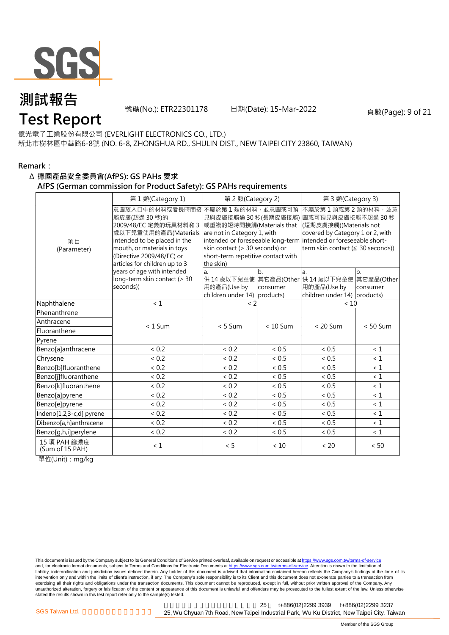

號碼(No.): ETR22301178 日期(Date): 15-Mar-2022 頁數(Page): 9 of 21

億光電子工業股份有限公司 (EVERLIGHT ELECTRONICS CO., LTD.)

新北市樹林區中華路6-8號 (NO. 6-8, ZHONGHUA RD., SHULIN DIST., NEW TAIPEI CITY 23860, TAIWAN)

#### **Remark:**

#### Δ **德國產品安全委員會(AfPS): GS PAHs 要求**

#### **AfPS (German commission for Product Safety): GS PAHs requirements**

|                                 | 第1類(Category 1)                                                                                                                                                                                                                   | 第 2 類(Category 2)                                                                                                                                                    |                | 第 3 類(Category 3)                                                                                                                                                                                                   |                |  |  |
|---------------------------------|-----------------------------------------------------------------------------------------------------------------------------------------------------------------------------------------------------------------------------------|----------------------------------------------------------------------------------------------------------------------------------------------------------------------|----------------|---------------------------------------------------------------------------------------------------------------------------------------------------------------------------------------------------------------------|----------------|--|--|
| 項目<br>(Parameter)               | 意圖放入口中的材料或者長時間接 不屬於第 1 類的材料 · 並意圖或可預<br>觸皮膚(超過30秒)的<br>2009/48/EC 定義的玩具材料和 3<br>歲以下兒童使用的產品(Materials<br>intended to be placed in the<br>mouth, or materials in toys<br>(Directive 2009/48/EC) or<br>articles for children up to 3 | 見與皮膚接觸逾 30 秒(長期皮膚接觸)<br>或重複的短時間接觸(Materials that<br>are not in Category 1, with<br>skin contact (> 30 seconds) or<br>short-term repetitive contact with<br>the skin) |                | 不屬於第1類或第2類的材料,並意<br>圖或可預見與皮膚接觸不超過 30 秒<br>(短期皮膚接觸)(Materials not<br>covered by Category 1 or 2, with<br>intended or foreseeable long-term intended or foreseeable short-<br>term skin contact ( $\leq$ 30 seconds)) |                |  |  |
|                                 | years of age with intended<br>long-term skin contact (> 30<br>seconds))                                                                                                                                                           | a.<br>用的產品(Use by<br>children under 14) products)                                                                                                                    | b.<br>consumer | a.<br>供 14 歳以下兒童使 其它產品(Other 供 14 歳以下兒童使 其它產品(Other<br>用的產品(Use by<br>children under 14) products)                                                                                                                  | b.<br>consumer |  |  |
| Naphthalene                     | $\leq 1$                                                                                                                                                                                                                          | $\leq$ 2                                                                                                                                                             |                | < 10                                                                                                                                                                                                                |                |  |  |
| Phenanthrene                    |                                                                                                                                                                                                                                   |                                                                                                                                                                      |                |                                                                                                                                                                                                                     |                |  |  |
| Anthracene                      | $< 1$ Sum                                                                                                                                                                                                                         | $< 5$ Sum                                                                                                                                                            | $< 10$ Sum     | $< 20$ Sum                                                                                                                                                                                                          | $< 50$ Sum     |  |  |
| Fluoranthene                    |                                                                                                                                                                                                                                   |                                                                                                                                                                      |                |                                                                                                                                                                                                                     |                |  |  |
| Pyrene                          |                                                                                                                                                                                                                                   |                                                                                                                                                                      |                |                                                                                                                                                                                                                     |                |  |  |
| Benzo[a]anthracene              | < 0.2                                                                                                                                                                                                                             | < 0.2                                                                                                                                                                | < 0.5          | ${}< 0.5$                                                                                                                                                                                                           | $\leq 1$       |  |  |
| Chrysene                        | < 0.2                                                                                                                                                                                                                             | < 0.2                                                                                                                                                                | < 0.5          | ${}< 0.5$                                                                                                                                                                                                           | $\leq 1$       |  |  |
| Benzo[b]fluoranthene            | < 0.2                                                                                                                                                                                                                             | < 0.2                                                                                                                                                                | < 0.5          | ${}< 0.5$                                                                                                                                                                                                           | $\leq 1$       |  |  |
| Benzo[j]fluoranthene            | < 0.2                                                                                                                                                                                                                             | < 0.2                                                                                                                                                                | < 0.5          | < 0.5                                                                                                                                                                                                               | $\leq 1$       |  |  |
| Benzo[k]fluoranthene            | < 0.2                                                                                                                                                                                                                             | < 0.2                                                                                                                                                                | < 0.5          | < 0.5                                                                                                                                                                                                               | $\leq 1$       |  |  |
| Benzo[a]pyrene                  | < 0.2                                                                                                                                                                                                                             | < 0.2                                                                                                                                                                | < 0.5          | < 0.5                                                                                                                                                                                                               | $\leq 1$       |  |  |
| Benzo[e]pyrene                  | < 0.2                                                                                                                                                                                                                             | ${}< 0.2$                                                                                                                                                            | ${}< 0.5$      | < 0.5                                                                                                                                                                                                               | < 1            |  |  |
| Indeno[1,2,3-c,d] pyrene        | ${}< 0.2$                                                                                                                                                                                                                         | < 0.2                                                                                                                                                                | < 0.5          | ~< 0.5                                                                                                                                                                                                              | $\leq 1$       |  |  |
| Dibenzo[a,h]anthracene          | < 0.2                                                                                                                                                                                                                             | < 0.2                                                                                                                                                                | < 0.5          | < 0.5                                                                                                                                                                                                               | $\leq 1$       |  |  |
| Benzo[g,h,i]perylene            | < 0.2                                                                                                                                                                                                                             | ${}< 0.2$                                                                                                                                                            | < 0.5          | < 0.5                                                                                                                                                                                                               | $\leq 1$       |  |  |
| 15 項 PAH 總濃度<br>(Sum of 15 PAH) | $\leq 1$                                                                                                                                                                                                                          | < 5                                                                                                                                                                  | < 10           | < 20                                                                                                                                                                                                                | < 50           |  |  |

單位(Unit):mg/kg

This document is issued by the Company subject to its General Conditions of Service printed overleaf, available on request or accessible at <u>https://www.sgs.com.tw/terms-of-service</u><br>and, for electronic format documents, su liability, indemnification and jurisdiction issues defined therein. Any holder of this document is advised that information contained hereon reflects the Company's findings at the time of its intervention only and within the limits of client's instruction, if any. The Company's sole responsibility is to its Client and this document does not exonerate parties to a transaction from exercising all their rights and obligations under the transaction documents. This document cannot be reproduced, except in full, without prior written approval of the Company. Any<br>unauthorized alteration, forgery or falsif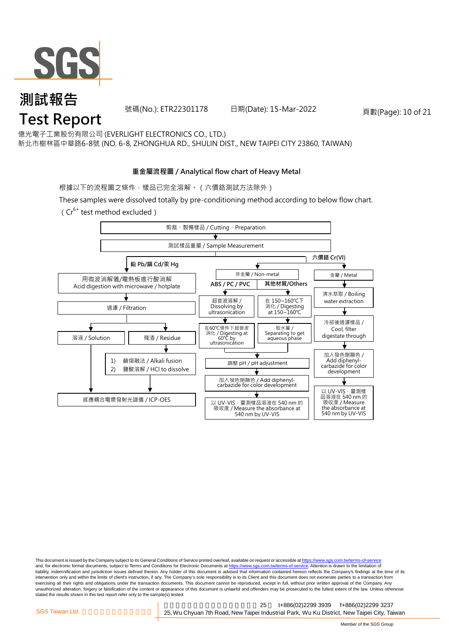

號碼(No.): ETR22301178 日期(Date): 15-Mar-2022 頁數(Page): 10 of 21

億光電子工業股份有限公司 (EVERLIGHT ELECTRONICS CO., LTD.) 新北市樹林區中華路6-8號 (NO. 6-8, ZHONGHUA RD., SHULIN DIST., NEW TAIPEI CITY 23860, TAIWAN)

### **重金屬流程圖 / Analytical flow chart of Heavy Metal**

根據以下的流程圖之條件,樣品已完全溶解。(六價鉻測試方法除外)

These samples were dissolved totally by pre-conditioning method according to below flow chart.

(Cr6+ test method excluded)



This document is issued by the Company subject to its General Conditions of Service printed overleaf, available on request or accessible at https://www.sgs.com.tw/terms-of-service and, for electronic format documents, subject to Terms and Conditions for Electronic Documents at https://www.sgs.com.tw/terms-of-service. Attention is drawn to the limitation of liability, indemnification and jurisdiction issues defined therein. Any holder of this document is advised that information contained hereon reflects the Company's findings at the time of its intervention only and within the limits of client's instruction, if any. The Company's sole responsibility is to its Client and this document does not exonerate parties to a transaction from exercising all their rights and obligations under the transaction documents. This document cannot be reproduced, except in full, without prior written approval of the Company. Any<br>unauthorized alteration, forgery or falsif stated the results shown in this test report refer only to the sample(s) tested.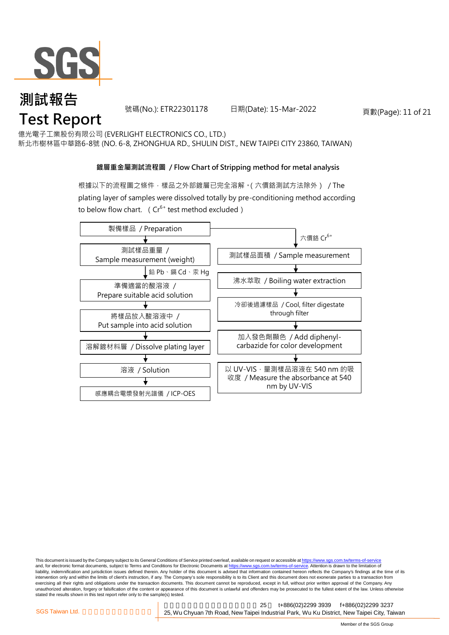

號碼(No.): ETR22301178 日期(Date): 15-Mar-2022 頁數(Page): 11 of 21

億光電子工業股份有限公司 (EVERLIGHT ELECTRONICS CO., LTD.) 新北市樹林區中華路6-8號 (NO. 6-8, ZHONGHUA RD., SHULIN DIST., NEW TAIPEI CITY 23860, TAIWAN)

### **鍍層重金屬測試流程圖 / Flow Chart of Stripping method for metal analysis**

根據以下的流程圖之條件,樣品之外部鍍層已完全溶解。(六價鉻測試方法除外) / The plating layer of samples were dissolved totally by pre-conditioning method according to below flow chart. ( $Cr^{6+}$  test method excluded)



This document is issued by the Company subject to its General Conditions of Service printed overleaf, available on request or accessible at https://www.sgs.com.tw/terms-of-service and, for electronic format documents, subject to Terms and Conditions for Electronic Documents at https://www.sgs.com.tw/terms-of-service. Attention is drawn to the limitation of liability, indemnification and jurisdiction issues defined therein. Any holder of this document is advised that information contained hereon reflects the Company's findings at the time of its intervention only and within the limits of client's instruction, if any. The Company's sole responsibility is to its Client and this document does not exonerate parties to a transaction from exercising all their rights and obligations under the transaction documents. This document cannot be reproduced, except in full, without prior written approval of the Company. Any<br>unauthorized alteration, forgery or falsif stated the results shown in this test report refer only to the sample(s) tested.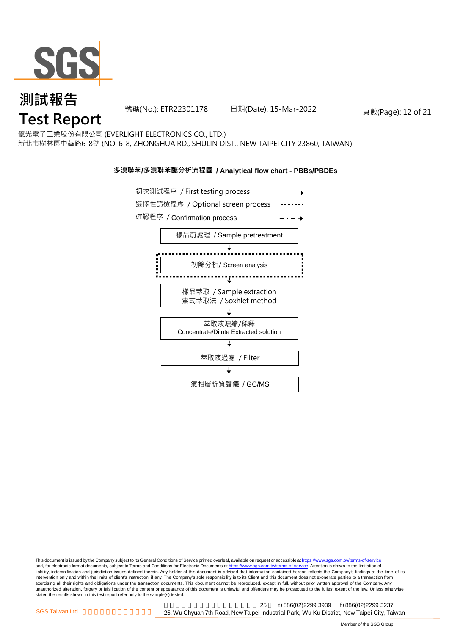

## **測試報告** *ក*<br>Test Report

號碼(No.): ETR22301178 日期(Date): 15-Mar-2022 頁數(Page): 12 of 21

億光電子工業股份有限公司 (EVERLIGHT ELECTRONICS CO., LTD.) 新北市樹林區中華路6-8號 (NO. 6-8, ZHONGHUA RD., SHULIN DIST., NEW TAIPEI CITY 23860, TAIWAN)

#### **多溴聯苯/多溴聯苯醚分析流程圖 / Analytical flow chart - PBBs/PBDEs**



This document is issued by the Company subject to its General Conditions of Service printed overleaf, available on request or accessible at <u>https://www.sgs.com.tw/terms-of-service</u><br>and, for electronic format documents, su liability, indemnification and jurisdiction issues defined therein. Any holder of this document is advised that information contained hereon reflects the Company's findings at the time of its intervention only and within the limits of client's instruction, if any. The Company's sole responsibility is to its Client and this document does not exonerate parties to a transaction from exercising all their rights and obligations under the transaction documents. This document cannot be reproduced, except in full, without prior written approval of the Company. Any<br>unauthorized alteration, forgery or falsif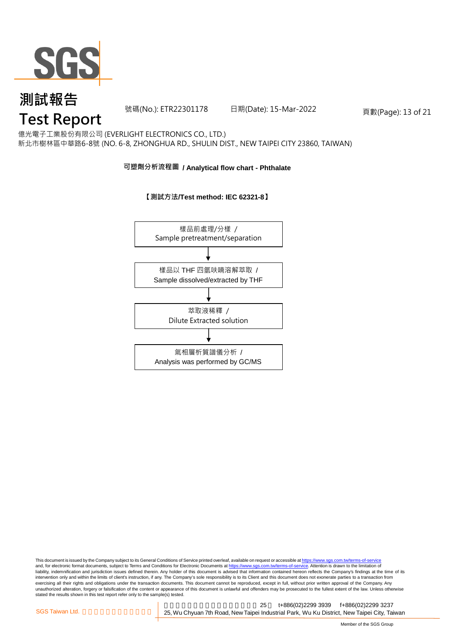

## **測試報告** *ក*<br>Test Report

號碼(No.): ETR22301178 日期(Date): 15-Mar-2022 頁數(Page): 13 of 21

億光電子工業股份有限公司 (EVERLIGHT ELECTRONICS CO., LTD.) 新北市樹林區中華路6-8號 (NO. 6-8, ZHONGHUA RD., SHULIN DIST., NEW TAIPEI CITY 23860, TAIWAN)

#### **可塑劑分析流程圖 / Analytical flow chart - Phthalate**

**【測試方法/Test method: IEC 62321-8】**



This document is issued by the Company subject to its General Conditions of Service printed overleaf, available on request or accessible at <u>https://www.sgs.com.tw/terms-of-service</u><br>and, for electronic format documents, su liability, indemnification and jurisdiction issues defined therein. Any holder of this document is advised that information contained hereon reflects the Company's findings at the time of its intervention only and within the limits of client's instruction, if any. The Company's sole responsibility is to its Client and this document does not exonerate parties to a transaction from exercising all their rights and obligations under the transaction documents. This document cannot be reproduced, except in full, without prior written approval of the Company. Any<br>unauthorized alteration, forgery or falsif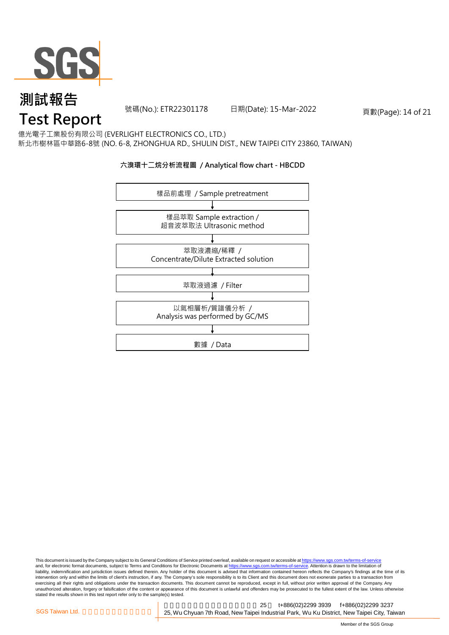

號碼(No.): ETR22301178 日期(Date): 15-Mar-2022 頁數(Page): 14 of 21

億光電子工業股份有限公司 (EVERLIGHT ELECTRONICS CO., LTD.) 新北市樹林區中華路6-8號 (NO. 6-8, ZHONGHUA RD., SHULIN DIST., NEW TAIPEI CITY 23860, TAIWAN)

#### **六溴環十二烷分析流程圖 / Analytical flow chart - HBCDD**



This document is issued by the Company subject to its General Conditions of Service printed overleaf, available on request or accessible at <u>https://www.sgs.com.tw/terms-of-service</u><br>and, for electronic format documents, su liability, indemnification and jurisdiction issues defined therein. Any holder of this document is advised that information contained hereon reflects the Company's findings at the time of its intervention only and within the limits of client's instruction, if any. The Company's sole responsibility is to its Client and this document does not exonerate parties to a transaction from exercising all their rights and obligations under the transaction documents. This document cannot be reproduced, except in full, without prior written approval of the Company. Any<br>unauthorized alteration, forgery or falsif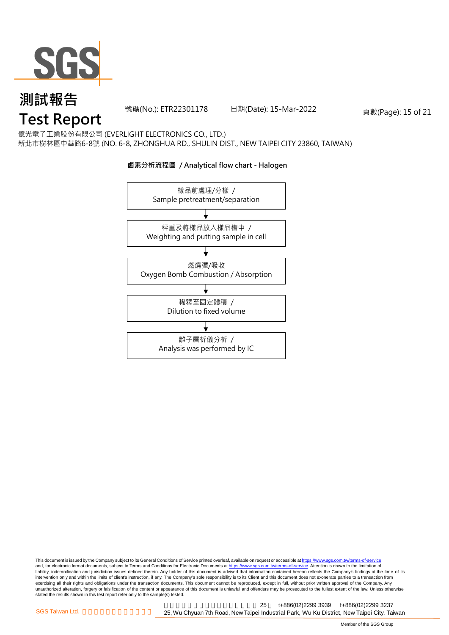

號碼(No.): ETR22301178 日期(Date): 15-Mar-2022 頁數(Page): 15 of 21

億光電子工業股份有限公司 (EVERLIGHT ELECTRONICS CO., LTD.) 新北市樹林區中華路6-8號 (NO. 6-8, ZHONGHUA RD., SHULIN DIST., NEW TAIPEI CITY 23860, TAIWAN)

#### **鹵素分析流程圖 / Analytical flow chart - Halogen**



This document is issued by the Company subject to its General Conditions of Service printed overleaf, available on request or accessible at <u>https://www.sgs.com.tw/terms-of-service</u><br>and, for electronic format documents, su liability, indemnification and jurisdiction issues defined therein. Any holder of this document is advised that information contained hereon reflects the Company's findings at the time of its intervention only and within the limits of client's instruction, if any. The Company's sole responsibility is to its Client and this document does not exonerate parties to a transaction from exercising all their rights and obligations under the transaction documents. This document cannot be reproduced, except in full, without prior written approval of the Company. Any<br>unauthorized alteration, forgery or falsif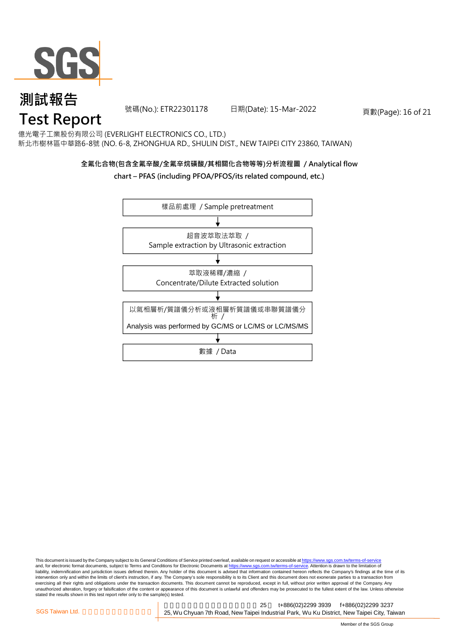

號碼(No.): ETR22301178 日期(Date): 15-Mar-2022 頁數(Page): 16 of 21

億光電子工業股份有限公司 (EVERLIGHT ELECTRONICS CO., LTD.) 新北市樹林區中華路6-8號 (NO. 6-8, ZHONGHUA RD., SHULIN DIST., NEW TAIPEI CITY 23860, TAIWAN)

### **全氟化合物(包含全氟辛酸/全氟辛烷磺酸/其相關化合物等等)分析流程圖 / Analytical flow**

**chart – PFAS (including PFOA/PFOS/its related compound, etc.)**



This document is issued by the Company subject to its General Conditions of Service printed overleaf, available on request or accessible at <u>https://www.sgs.com.tw/terms-of-service</u><br>and, for electronic format documents, su liability, indemnification and jurisdiction issues defined therein. Any holder of this document is advised that information contained hereon reflects the Company's findings at the time of its intervention only and within the limits of client's instruction, if any. The Company's sole responsibility is to its Client and this document does not exonerate parties to a transaction from exercising all their rights and obligations under the transaction documents. This document cannot be reproduced, except in full, without prior written approval of the Company. Any<br>unauthorized alteration, forgery or falsif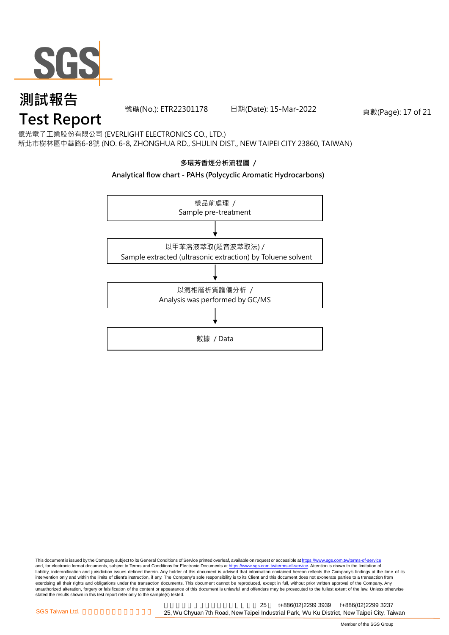

號碼(No.): ETR22301178 日期(Date): 15-Mar-2022 頁數(Page): 17 of 21

億光電子工業股份有限公司 (EVERLIGHT ELECTRONICS CO., LTD.) 新北市樹林區中華路6-8號 (NO. 6-8, ZHONGHUA RD., SHULIN DIST., NEW TAIPEI CITY 23860, TAIWAN)

### **多環芳香烴分析流程圖 /**

#### **Analytical flow chart - PAHs (Polycyclic Aromatic Hydrocarbons)**



This document is issued by the Company subject to its General Conditions of Service printed overleaf, available on request or accessible at <u>https://www.sgs.com.tw/terms-of-service</u><br>and, for electronic format documents, su liability, indemnification and jurisdiction issues defined therein. Any holder of this document is advised that information contained hereon reflects the Company's findings at the time of its intervention only and within the limits of client's instruction, if any. The Company's sole responsibility is to its Client and this document does not exonerate parties to a transaction from exercising all their rights and obligations under the transaction documents. This document cannot be reproduced, except in full, without prior written approval of the Company. Any<br>unauthorized alteration, forgery or falsif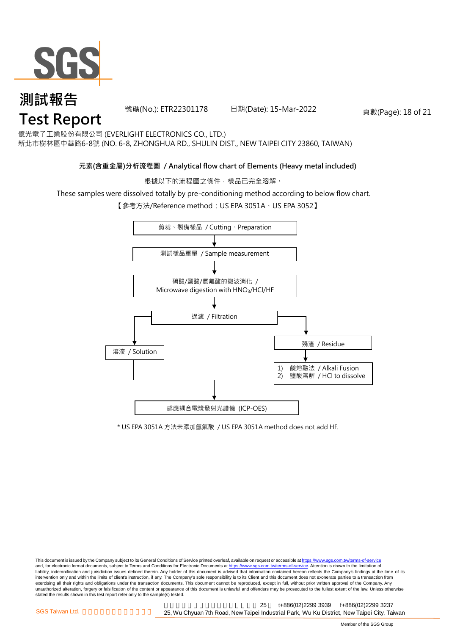

# **測試報告** ਾ<sup>ਨਰ ਸਮਾਜ¤</sup> ਸ<br>Test Report

號碼(No.): ETR22301178 日期(Date): 15-Mar-2022 頁數(Page): 18 of 21

億光電子工業股份有限公司 (EVERLIGHT ELECTRONICS CO., LTD.) 新北市樹林區中華路6-8號 (NO. 6-8, ZHONGHUA RD., SHULIN DIST., NEW TAIPEI CITY 23860, TAIWAN)

### **元素(含重金屬)分析流程圖 / Analytical flow chart of Elements (Heavy metal included)**

根據以下的流程圖之條件,樣品已完全溶解。

These samples were dissolved totally by pre-conditioning method according to below flow chart.

【參考方法/Reference method: US EPA 3051A、US EPA 3052】



\* US EPA 3051A 方法未添加氫氟酸 / US EPA 3051A method does not add HF.

This document is issued by the Company subject to its General Conditions of Service printed overleaf, available on request or accessible at https://www.sgs.com.tw/terms-of-service and, for electronic format documents, subject to Terms and Conditions for Electronic Documents at https://www.sgs.com.tw/terms-of-service. Attention is drawn to the limitation of liability, indemnification and jurisdiction issues defined therein. Any holder of this document is advised that information contained hereon reflects the Company's findings at the time of its intervention only and within the limits of client's instruction, if any. The Company's sole responsibility is to its Client and this document does not exonerate parties to a transaction from exercising all their rights and obligations under the transaction documents. This document cannot be reproduced, except in full, without prior written approval of the Company. Any<br>unauthorized alteration, forgery or falsif stated the results shown in this test report refer only to the sample(s) tested.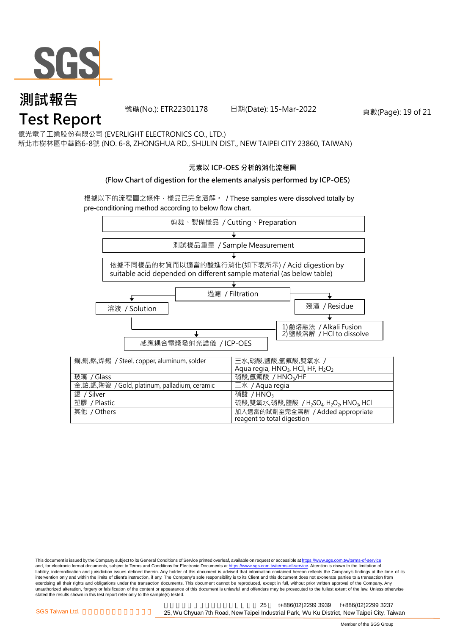

號碼(No.): ETR22301178 日期(Date): 15-Mar-2022 頁數(Page): 19 of 21

億光電子工業股份有限公司 (EVERLIGHT ELECTRONICS CO., LTD.) 新北市樹林區中華路6-8號 (NO. 6-8, ZHONGHUA RD., SHULIN DIST., NEW TAIPEI CITY 23860, TAIWAN)

#### **元素以 ICP-OES 分析的消化流程圖**

#### **(Flow Chart of digestion for the elements analysis performed by ICP-OES)**

根據以下的流程圖之條件,樣品已完全溶解。 / These samples were dissolved totally by pre-conditioning method according to below flow chart.



This document is issued by the Company subject to its General Conditions of Service printed overleaf, available on request or accessible at https://www.sgs.com.tw/terms-of-service and, for electronic format documents, subject to Terms and Conditions for Electronic Documents at https://www.sgs.com.tw/terms-of-service. Attention is drawn to the limitation of liability, indemnification and jurisdiction issues defined therein. Any holder of this document is advised that information contained hereon reflects the Company's findings at the time of its intervention only and within the limits of client's instruction, if any. The Company's sole responsibility is to its Client and this document does not exonerate parties to a transaction from exercising all their rights and obligations under the transaction documents. This document cannot be reproduced, except in full, without prior written approval of the Company. Any<br>unauthorized alteration, forgery or falsif stated the results shown in this test report refer only to the sample(s) tested.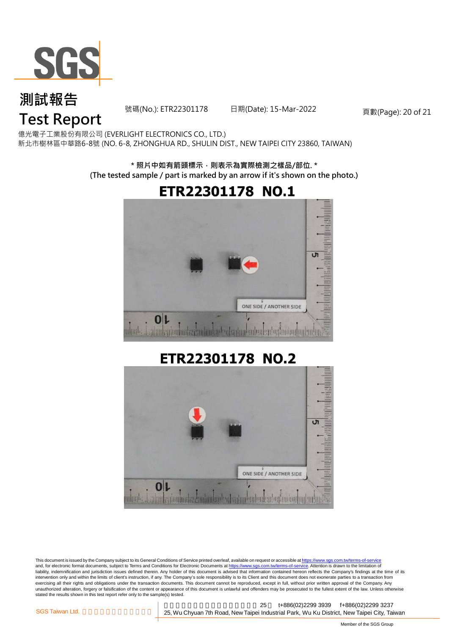

號碼(No.): ETR22301178 日期(Date): 15-Mar-2022 頁數(Page): 20 of 21

億光電子工業股份有限公司 (EVERLIGHT ELECTRONICS CO., LTD.) 新北市樹林區中華路6-8號 (NO. 6-8, ZHONGHUA RD., SHULIN DIST., NEW TAIPEI CITY 23860, TAIWAN)

### **\* 照片中如有箭頭標示,則表示為實際檢測之樣品/部位. \* (The tested sample / part is marked by an arrow if it's shown on the photo.)**





This document is issued by the Company subject to its General Conditions of Service printed overleaf, available on request or accessible at https://www.sgs.com.tw/terms-of-service and, for electronic format documents, subject to Terms and Conditions for Electronic Documents at https://www.sgs.com.tw/terms-of-service. Attention is drawn to the limitation of liability, indemnification and jurisdiction issues defined therein. Any holder of this document is advised that information contained hereon reflects the Company's findings at the time of its intervention only and within the limits of client's instruction, if any. The Company's sole responsibility is to its Client and this document does not exonerate parties to a transaction from exercising all their rights and obligations under the transaction documents. This document cannot be reproduced, except in full, without prior written approval of the Company. Any<br>unauthorized alteration, forgery or falsif